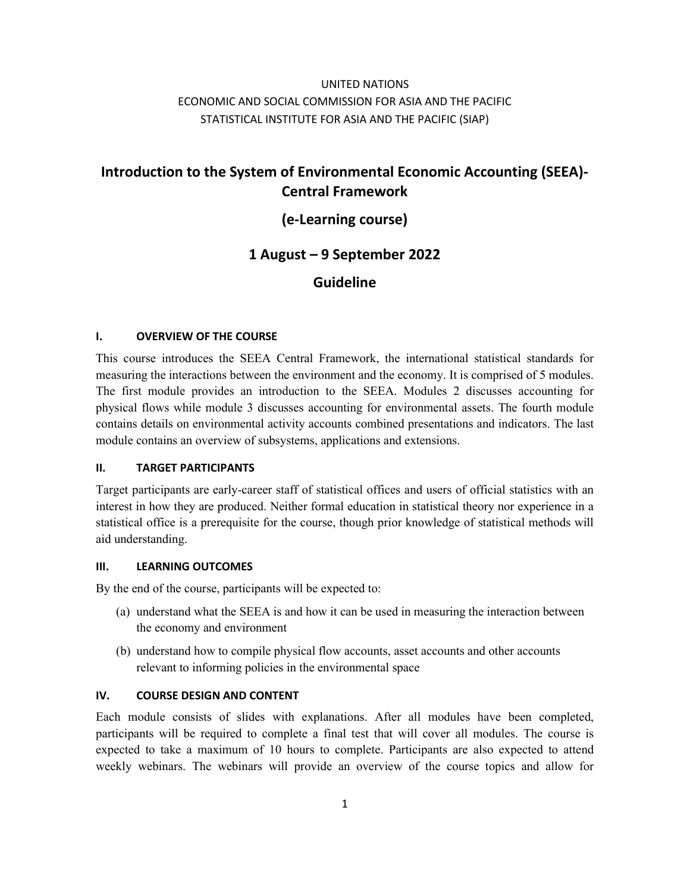## UNITED NATIONS ECONOMIC AND SOCIAL COMMISSION FOR ASIA AND THE PACIFIC STATISTICAL INSTITUTE FOR ASIA AND THE PACIFIC (SIAP)

# **Introduction to the System of Environmental Economic Accounting (SEEA)- Central Framework**

## **(e-Learning course)**

## **1 August – 9 September 2022**

### **Guideline**

#### **I. OVERVIEW OF THE COURSE**

This course introduces the SEEA Central Framework, the international statistical standards for measuring the interactions between the environment and the economy. It is comprised of 5 modules. The first module provides an introduction to the SEEA. Modules 2 discusses accounting for physical flows while module 3 discusses accounting for environmental assets. The fourth module contains details on environmental activity accounts combined presentations and indicators. The last module contains an overview of subsystems, applications and extensions.

#### **II. TARGET PARTICIPANTS**

Target participants are early-career staff of statistical offices and users of official statistics with an interest in how they are produced. Neither formal education in statistical theory nor experience in a statistical office is a prerequisite for the course, though prior knowledge of statistical methods will aid understanding.

#### **III. LEARNING OUTCOMES**

By the end of the course, participants will be expected to:

- (a) understand what the SEEA is and how it can be used in measuring the interaction between the economy and environment
- (b) understand how to compile physical flow accounts, asset accounts and other accounts relevant to informing policies in the environmental space

#### **IV. COURSE DESIGN AND CONTENT**

Each module consists of slides with explanations. After all modules have been completed, participants will be required to complete a final test that will cover all modules. The course is expected to take a maximum of 10 hours to complete. Participants are also expected to attend weekly webinars. The webinars will provide an overview of the course topics and allow for